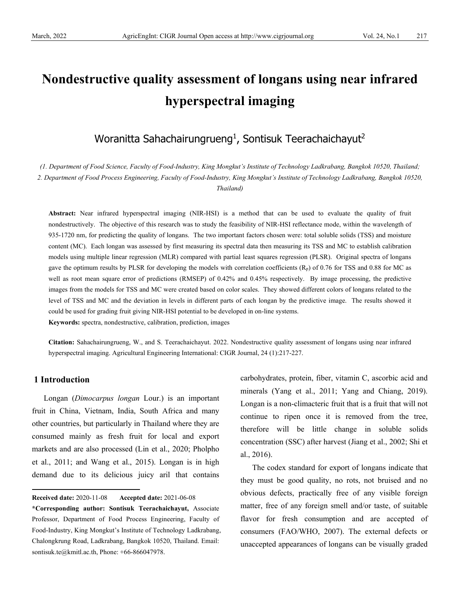# **Nondestructive quality assessment of longans using near infrared hyperspectral imaging**

# Woranitta Sahachairungrueng $^1$ , Sontisuk Teerachaichayut $^2$

*(1. Department of Food Science, Faculty of Food-Industry, King Mongkut's Institute of Technology Ladkrabang, Bangkok 10520, Thailand; 2. Department of Food Process Engineering, Faculty of Food-Industry, King Mongkut's Institute of Technology Ladkrabang, Bangkok 10520, Thailand)*

**Abstract:** Near infrared hyperspectral imaging (NIR-HSI) is a method that can be used to evaluate the quality of fruit nondestructively. The objective of this research was to study the feasibility of NIR-HSI reflectance mode, within the wavelength of 935-1720 nm, for predicting the quality of longans. The two important factors chosen were: total soluble solids (TSS) and moisture content (MC). Each longan was assessed by first measuring its spectral data then measuring its TSS and MC to establish calibration models using multiple linear regression (MLR) compared with partial least squares regression (PLSR). Original spectra of longans gave the optimum results by PLSR for developing the models with correlation coefficients  $(R_p)$  of 0.76 for TSS and 0.88 for MC as well as root mean square error of predictions (RMSEP) of 0.42% and 0.45% respectively. By image processing, the predictive images from the models for TSS and MC were created based on color scales. They showed different colors of longans related to the level of TSS and MC and the deviation in levels in different parts of each longan by the predictive image. The results showed it could be used for grading fruit giving NIR-HSI potential to be developed in on-line systems.

**Keywords:** spectra, nondestructive, calibration, prediction, images

**Citation:** Sahachairungrueng, W., and S. Teerachaichayut. 2022. Nondestructive quality assessment of longans using near infrared hyperspectral imaging. Agricultural Engineering International: CIGR Journal, 24 (1):217-227.

# **1 Introduction**

Longan (*Dimocarpus longan* Lour.) is an important fruit in China, Vietnam, India, South Africa and many other countries, but particularly in Thailand where they are consumed mainly as fresh fruit for local and export markets and are also processed (Lin et al., 2020; Pholpho et al., 2011; and Wang et al., 2015). Longan is in high demand due to its delicious juicy aril that contains

<span id="page-0-0"></span>**Received date:** 2020-11-08 **Accepted date:** 2021-06-08

carbohydrates, protein, fiber, vitamin C, ascorbic acid and minerals (Yang et al., 2011; Yang and Chiang, 2019). Longan is a non-climacteric fruit that is a fruit that will not continue to ripen once it is removed from the tree, therefore will be little change in soluble solids concentration (SSC) after harvest (Jiang et al., 2002; Shi et al., 2016).

The codex standard for export of longans indicate that they must be good quality, no rots, not bruised and no obvious defects, practically free of any visible foreign matter, free of any foreign smell and/or taste, of suitable flavor for fresh consumption and are accepted of consumers (FAO/WHO, 2007). The external defects or unaccepted appearances of longans can be visually graded

**<sup>\*</sup>Corresponding author: Sontisuk Teerachaichayut,** Associate Professor, Department of Food Process Engineering, Faculty of Food-Industry, King Mongkut's Institute of Technology Ladkrabang, Chalongkrung Road, Ladkrabang, Bangkok 10520, Thailand. Email: [sontisuk.te@kmitl.ac.th,](mailto:sontisuk.te@kmitl.ac.th) Phone: +66-866047978.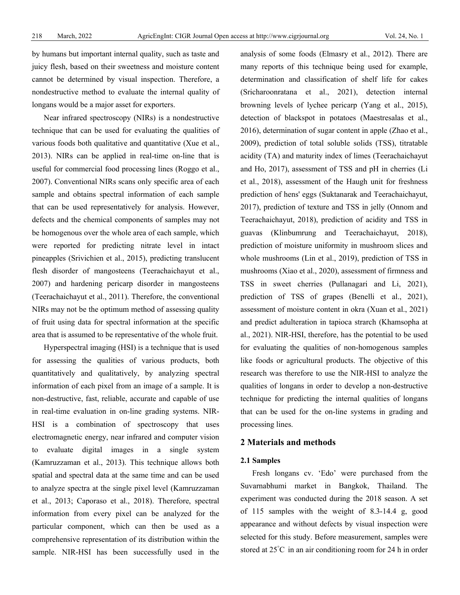by humans but important internal quality, such as taste and juicy flesh, based on their sweetness and moisture content cannot be determined by visual inspection. Therefore, a nondestructive method to evaluate the internal quality of longans would be a major asset for exporters.

Near infrared spectroscopy (NIRs) is a nondestructive technique that can be used for evaluating the qualities of various foods both qualitative and quantitative (Xue et al., 2013). NIRs can be applied in real-time on-line that is useful for commercial food processing lines (Roggo et al., 2007). Conventional NIRs scans only specific area of each sample and obtains spectral information of each sample that can be used representatively for analysis. However, defects and the chemical components of samples may not be homogenous over the whole area of each sample, which were reported for predicting nitrate level in intact pineapples (Srivichien et al., 2015), predicting translucent flesh disorder of mangosteens (Teerachaichayut et al., 2007) and hardening pericarp disorder in mangosteens (Teerachaichayut et al., 2011). Therefore, the conventional NIRs may not be the optimum method of assessing quality of fruit using data for spectral information at the specific area that is assumed to be representative of the whole fruit.

Hyperspectral imaging (HSI) is a technique that is used for assessing the qualities of various products, both quantitatively and qualitatively, by analyzing spectral information of each pixel from an image of a sample. It is non-destructive, fast, reliable, accurate and capable of use in real-time evaluation in on-line grading systems. NIR-HSI is a combination of spectroscopy that uses electromagnetic energy, near infrared and computer vision to evaluate digital images in a single system (Kamruzzaman et al., 2013). This technique allows both spatial and spectral data at the same time and can be used to analyze spectra at the single pixel level (Kamruzzaman et al., 2013; Caporaso et al., 2018). Therefore, spectral information from every pixel can be analyzed for the particular component, which can then be used as a comprehensive representation of its distribution within the sample. NIR-HSI has been successfully used in the

analysis of some foods (Elmasry et al., 2012). There are many reports of this technique being used for example, determination and classification of shelf life for cakes (Sricharoonratana et al., 2021), detection internal browning levels of lychee pericarp (Yang et al., 2015), detection of blackspot in potatoes (Maestresalas et al., 2016), determination of sugar content in apple (Zhao et al., 2009), prediction of total soluble solids (TSS), titratable acidity (TA) and maturity index of limes (Teerachaichayut and Ho, 2017), assessment of TSS and pH in cherries (Li et al., 2018), assessment of the Haugh unit for freshness prediction of hens' eggs (Suktanarak and Teerachaichayut, 2017), prediction of texture and TSS in jelly (Onnom and Teerachaichayut, 2018), prediction of acidity and TSS in guavas (Klinbumrung and Teerachaichayut, 2018), prediction of moisture uniformity in mushroom slices and whole mushrooms (Lin et al., 2019), prediction of TSS in mushrooms (Xiao et al., 2020), assessment of firmness and TSS in sweet cherries (Pullanagari and Li, 2021), prediction of TSS of grapes (Benelli et al., 2021), assessment of moisture content in okra (Xuan et al., 2021) and predict adulteration in tapioca strarch (Khamsopha at al., 2021). NIR-HSI, therefore, has the potential to be used for evaluating the qualities of non-homogenous samples like foods or agricultural products. The objective of this research was therefore to use the NIR-HSI to analyze the qualities of longans in order to develop a non-destructive technique for predicting the internal qualities of longans that can be used for the on-line systems in grading and processing lines.

# **2 Materials and methods**

#### **2.1 Samples**

Fresh longans cv. 'Edo' were purchased from the Suvarnabhumi market in Bangkok, Thailand. The experiment was conducted during the 2018 season. A set of 115 samples with the weight of 8.3-14.4 g, good appearance and without defects by visual inspection were selected for this study. Before measurement, samples were stored at 25° C in an air conditioning room for 24 h in order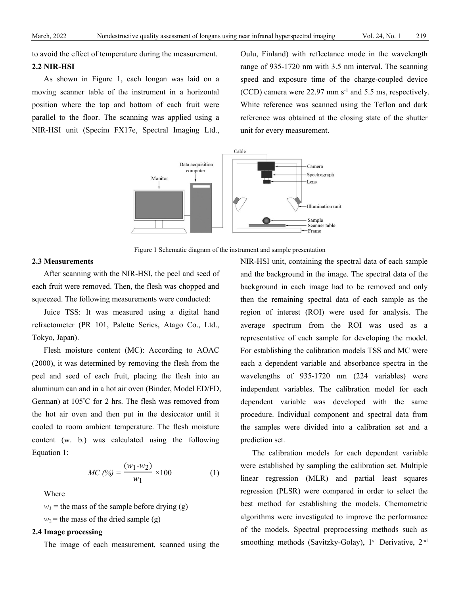to avoid the effect of temperature during the measurement.

#### **2.2 NIR-HSI**

As shown in Figure 1, each longan was laid on a moving scanner table of the instrument in a horizontal position where the top and bottom of each fruit were parallel to the floor. The scanning was applied using a NIR-HSI unit (Specim FX17e, Spectral Imaging Ltd.,

Oulu, Finland) with reflectance mode in the wavelength range of 935-1720 nm with 3.5 nm interval. The scanning speed and exposure time of the charge-coupled device (CCD) camera were  $22.97$  mm s<sup>-1</sup> and 5.5 ms, respectively. White reference was scanned using the Teflon and dark reference was obtained at the closing state of the shutter unit for every measurement.



Figure 1 Schematic diagram of the instrument and sample presentation

#### **2.3 Measurements**

After scanning with the NIR-HSI, the peel and seed of each fruit were removed. Then, the flesh was chopped and squeezed. The following measurements were conducted:

Juice TSS: It was measured using a digital hand refractometer (PR 101, Palette Series, Atago Co., Ltd., Tokyo, Japan).

Flesh moisture content (MC): According to AOAC (2000), it was determined by removing the flesh from the peel and seed of each fruit, placing the flesh into an aluminum can and in a hot air oven (Binder, Model ED/FD, German) at 105° C for 2 hrs. The flesh was removed from the hot air oven and then put in the desiccator until it cooled to room ambient temperature. The flesh moisture content (w. b.) was calculated using the following Equation 1:

$$
MC (%) = \frac{(w_1 - w_2)}{w_1} \times 100
$$
 (1)

Where

 $w_1$  = the mass of the sample before drying (g)

 $w_2$  = the mass of the dried sample (g)

# **2.4 Image processing**

The image of each measurement, scanned using the

NIR-HSI unit, containing the spectral data of each sample and the background in the image. The spectral data of the background in each image had to be removed and only then the remaining spectral data of each sample as the region of interest (ROI) were used for analysis. The average spectrum from the ROI was used as a representative of each sample for developing the model. For establishing the calibration models TSS and MC were each a dependent variable and absorbance spectra in the wavelengths of 935-1720 nm (224 variables) were independent variables. The calibration model for each dependent variable was developed with the same procedure. Individual component and spectral data from the samples were divided into a calibration set and a prediction set.

The calibration models for each dependent variable were established by sampling the calibration set. Multiple linear regression (MLR) and partial least squares regression (PLSR) were compared in order to select the best method for establishing the models. Chemometric algorithms were investigated to improve the performance of the models. Spectral preprocessing methods such as smoothing methods (Savitzky-Golay), 1<sup>st</sup> Derivative, 2<sup>nd</sup>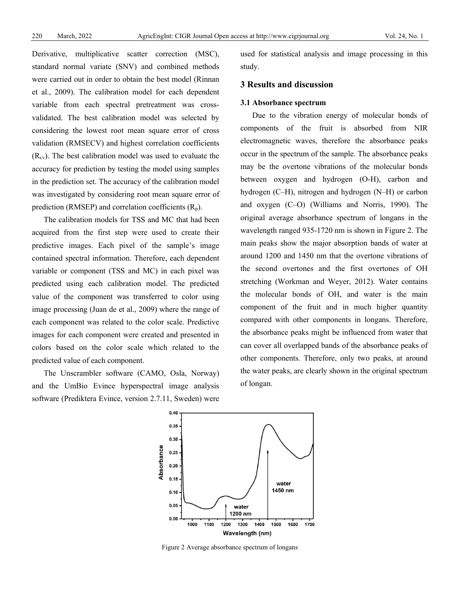Derivative, multiplicative scatter correction (MSC), standard normal variate (SNV) and combined methods were carried out in order to obtain the best model (Rinnan et al., 2009). The calibration model for each dependent variable from each spectral pretreatment was crossvalidated. The best calibration model was selected by considering the lowest root mean square error of cross validation (RMSECV) and highest correlation coefficients  $(R_{cv})$ . The best calibration model was used to evaluate the accuracy for prediction by testing the model using samples in the prediction set. The accuracy of the calibration model was investigated by considering root mean square error of prediction (RMSEP) and correlation coefficients  $(R_p)$ .

The calibration models for TSS and MC that had been acquired from the first step were used to create their predictive images. Each pixel of the sample's image contained spectral information. Therefore, each dependent variable or component (TSS and MC) in each pixel was predicted using each calibration model. The predicted value of the component was transferred to color using image processing (Juan de et al., 2009) where the range of each component was related to the color scale. Predictive images for each component were created and presented in colors based on the color scale which related to the predicted value of each component.

The Unscrambler software (CAMO, Osla, Norway) and the UmBio Evince hyperspectral image analysis software (Prediktera Evince, version 2.7.11, Sweden) were

used for statistical analysis and image processing in this study.

# **3 Results and discussion**

#### **3.1 Absorbance spectrum**

Due to the vibration energy of molecular bonds of components of the fruit is absorbed from NIR electromagnetic waves, therefore the absorbance peaks occur in the spectrum of the sample. The absorbance peaks may be the overtone vibrations of the molecular bonds between oxygen and hydrogen (O-H), carbon and hydrogen (C–H), nitrogen and hydrogen (N–H) or carbon and oxygen (C–O) (Williams and Norris, 1990). The original average absorbance spectrum of longans in the wavelength ranged 935-1720 nm is shown in Figure 2. The main peaks show the major absorption bands of water at around 1200 and 1450 nm that the overtone vibrations of the second overtones and the first overtones of OH stretching (Workman and Weyer, 2012). Water contains the molecular bonds of OH, and water is the main component of the fruit and in much higher quantity compared with other components in longans. Therefore, the absorbance peaks might be influenced from water that can cover all overlapped bands of the absorbance peaks of other components. Therefore, only two peaks, at around the water peaks, are clearly shown in the original spectrum of longan.



Figure 2 Average absorbance spectrum of longans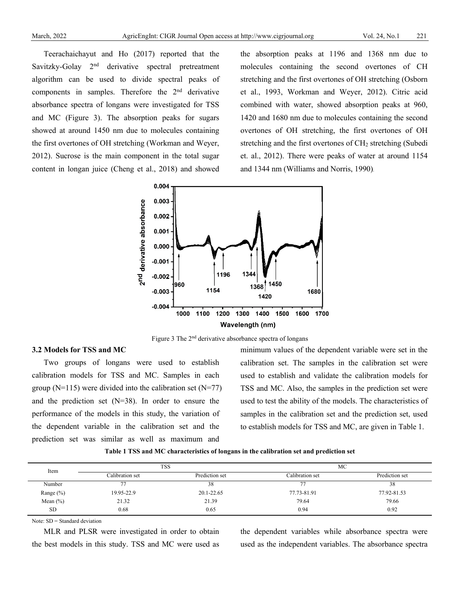Teerachaichayut and Ho (2017) reported that the Savitzky-Golay 2<sup>nd</sup> derivative spectral pretreatment algorithm can be used to divide spectral peaks of components in samples. Therefore the 2nd derivative absorbance spectra of longans were investigated for TSS and MC (Figure 3). The absorption peaks for sugars showed at around 1450 nm due to molecules containing the first overtones of OH stretching (Workman and Weyer, 2012). Sucrose is the main component in the total sugar content in longan juice (Cheng et al., 2018) and showed

the absorption peaks at 1196 and 1368 nm due to molecules containing the second overtones of CH stretching and the first overtones of OH stretching (Osborn et al., 1993, Workman and Weyer, 2012). Citric acid combined with water, showed absorption peaks at 960, 1420 and 1680 nm due to molecules containing the second overtones of OH stretching, the first overtones of OH stretching and the first overtones of  $CH<sub>2</sub>$  stretching (Subedi et. al., 2012). There were peaks of water at around 1154 and 1344 nm (Williams and Norris, 1990).



Figure 3 The 2<sup>nd</sup> derivative absorbance spectra of longans

#### **3.2 Models for TSS and MC**

Two groups of longans were used to establish calibration models for TSS and MC. Samples in each group ( $N=115$ ) were divided into the calibration set ( $N=77$ ) and the prediction set (N=38). In order to ensure the performance of the models in this study, the variation of the dependent variable in the calibration set and the prediction set was similar as well as maximum and

minimum values of the dependent variable were set in the calibration set. The samples in the calibration set were used to establish and validate the calibration models for TSS and MC. Also, the samples in the prediction set were used to test the ability of the models. The characteristics of samples in the calibration set and the prediction set, used to establish models for TSS and MC, are given in Table 1.

**Table 1 TSS and MC characteristics of longans in the calibration set and prediction set**

| Item          | <b>TSS</b>      |                | МC              |                |
|---------------|-----------------|----------------|-----------------|----------------|
|               | Calibration set | Prediction set | Calibration set | Prediction set |
| Number        | 77              | 38             | --              | 38             |
| Range $(\% )$ | 19.95-22.9      | 20.1-22.65     | 77.73-81.91     | 77.92-81.53    |
| Mean $(\% )$  | 21.32           | 21.39          | 79.64           | 79.66          |
| <b>SD</b>     | 0.68            | 0.65           | 0.94            | 0.92           |

Note: SD = Standard deviation

MLR and PLSR were investigated in order to obtain the best models in this study. TSS and MC were used as the dependent variables while absorbance spectra were used as the independent variables. The absorbance spectra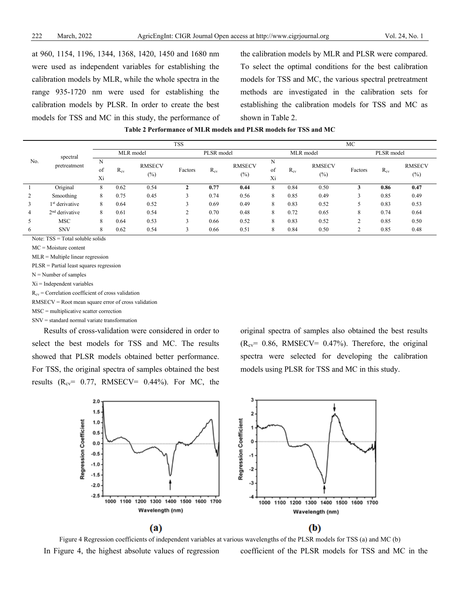at 960, 1154, 1196, 1344, 1368, 1420, 1450 and 1680 nm were used as independent variables for establishing the calibration models by MLR, while the whole spectra in the range 935-1720 nm were used for establishing the calibration models by PLSR. In order to create the best models for TSS and MC in this study, the performance of

the calibration models by MLR and PLSR were compared. To select the optimal conditions for the best calibration models for TSS and MC, the various spectral pretreatment methods are investigated in the calibration sets for establishing the calibration models for TSS and MC as shown in Table 2.

|     | spectral<br>pretreatment   |               | <b>TSS</b> |                         |            |          |                         | MC            |          |                         |         |          |                         |
|-----|----------------------------|---------------|------------|-------------------------|------------|----------|-------------------------|---------------|----------|-------------------------|---------|----------|-------------------------|
| No. |                            | MLR model     |            |                         | PLSR model |          | MLR model               |               |          | PLSR model              |         |          |                         |
|     |                            | N<br>of<br>Xi | $R_{cv}$   | <b>RMSECV</b><br>$(\%)$ | Factors    | $R_{cv}$ | <b>RMSECV</b><br>$(\%)$ | N<br>of<br>Xi | $R_{cv}$ | <b>RMSECV</b><br>$(\%)$ | Factors | $R_{cv}$ | <b>RMSECV</b><br>$(\%)$ |
|     | Original                   | 8             | 0.62       | 0.54                    |            | 0.77     | 0.44                    | 8             | 0.84     | 0.50                    | 3       | 0.86     | 0.47                    |
|     | Smoothing                  | 8             | 0.75       | 0.45                    | 2          | 0.74     | 0.56                    | 8             | 0.85     | 0.49                    | 3       | 0.85     | 0.49                    |
| 3   | 1 <sup>st</sup> derivative | 8             | 0.64       | 0.52                    | ◠          | 0.69     | 0.49                    | 8             | 0.83     | 0.52                    |         | 0.83     | 0.53                    |
| 4   | $2nd$ derivative           | 8             | 0.61       | 0.54                    | ◠          | 0.70     | 0.48                    | 8             | 0.72     | 0.65                    | 8       | 0.74     | 0.64                    |
|     | <b>MSC</b>                 | 8             | 0.64       | 0.53                    |            | 0.66     | 0.52                    | 8             | 0.83     | 0.52                    | $\sim$  | 0.85     | 0.50                    |
| 6   | <b>SNV</b>                 | 8             | 0.62       | 0.54                    | 3          | 0.66     | 0.51                    | 8             | 0.84     | 0.50                    | ◠       | 0.85     | 0.48                    |

Note: TSS = Total soluble solids

MC = Moisture content

MLR = Multiple linear regression

PLSR = Partial least squares regression

N = Number of samples

Xi = Independent variables

 $R_{cv}$  = Correlation coefficient of cross validation

RMSECV = Root mean square error of cross validation

MSC = multiplicative scatter correction

SNV = standard normal variate transformation

Results of cross-validation were considered in order to select the best models for TSS and MC. The results showed that PLSR models obtained better performance. For TSS, the original spectra of samples obtained the best results  $(R_{cv} = 0.77, RMSECV = 0.44\%)$ . For MC, the

original spectra of samples also obtained the best results  $(R_{cv} = 0.86, RMSECV = 0.47\%)$ . Therefore, the original spectra were selected for developing the calibration models using PLSR for TSS and MC in this study.



Figure 4 Regression coefficients of independent variables at various wavelengths of the PLSR models for TSS (a) and MC (b) In Figure 4, the highest absolute values of regression coefficient of the PLSR models for TSS and MC in the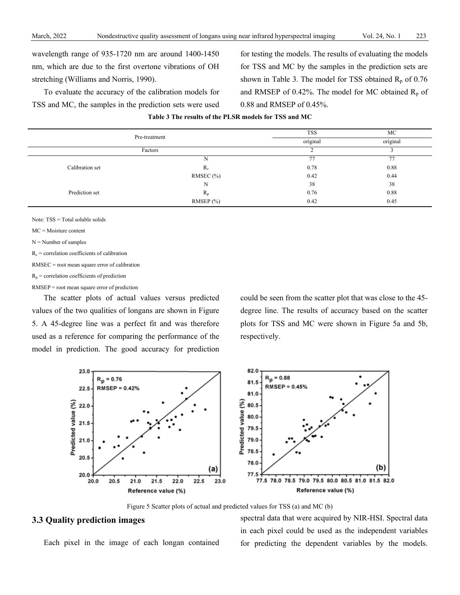wavelength range of 935-1720 nm are around 1400-1450 nm, which are due to the first overtone vibrations of OH stretching (Williams and Norris, 1990).

To evaluate the accuracy of the calibration models for TSS and MC, the samples in the prediction sets were used

for testing the models. The results of evaluating the models for TSS and MC by the samples in the prediction sets are shown in Table 3. The model for TSS obtained  $R_p$  of 0.76 and RMSEP of 0.42%. The model for MC obtained  $R_p$  of 0.88 and RMSEP of 0.45%.

|  |  | Table 3 The results of the PLSR models for TSS and MC |  |  |
|--|--|-------------------------------------------------------|--|--|
|  |  |                                                       |  |  |

|                 | Pre-treatment | <b>TSS</b> | МC       |  |
|-----------------|---------------|------------|----------|--|
|                 |               | original   | original |  |
|                 | Factors       |            |          |  |
|                 | N             | 77         | 77       |  |
| Calibration set | $R_c$         | 0.78       | 0.88     |  |
|                 | RMSEC (%)     | 0.42       | 0.44     |  |
|                 | N             | 38         | 38       |  |
| Prediction set  | $R_{p}$       | 0.76       | 0.88     |  |
|                 | RMSEP $(\% )$ | 0.42       | 0.45     |  |

Note: TSS = Total soluble solids

MC = Moisture content

 $N =$  Number of samples

 $R_c$  = correlation coefficients of calibration

RMSEC = root mean square error of calibration

 $R_p$  = correlation coefficients of prediction

RMSEP = root mean square error of prediction

The scatter plots of actual values versus predicted values of the two qualities of longans are shown in Figure 5. A 45-degree line was a perfect fit and was therefore used as a reference for comparing the performance of the model in prediction. The good accuracy for prediction

could be seen from the scatter plot that was close to the 45 degree line. The results of accuracy based on the scatter plots for TSS and MC were shown in Figure 5a and 5b, respectively.



Figure 5 Scatter plots of actual and predicted values for TSS (a) and MC (b)

## **3.3 Quality prediction images**

Each pixel in the image of each longan contained

spectral data that were acquired by NIR-HSI. Spectral data in each pixel could be used as the independent variables for predicting the dependent variables by the models.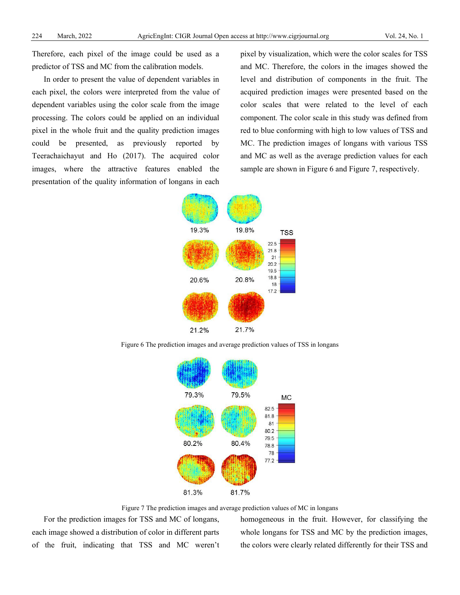Therefore, each pixel of the image could be used as a predictor of TSS and MC from the calibration models.

In order to present the value of dependent variables in each pixel, the colors were interpreted from the value of dependent variables using the color scale from the image processing. The colors could be applied on an individual pixel in the whole fruit and the quality prediction images could be presented, as previously reported by Teerachaichayut and Ho (2017). The acquired color images, where the attractive features enabled the presentation of the quality information of longans in each

pixel by visualization, which were the color scales for TSS and MC. Therefore, the colors in the images showed the level and distribution of components in the fruit. The acquired prediction images were presented based on the color scales that were related to the level of each component. The color scale in this study was defined from red to blue conforming with high to low values of TSS and MC. The prediction images of longans with various TSS and MC as well as the average prediction values for each sample are shown in Figure 6 and Figure 7, respectively.



Figure 6 The prediction images and average prediction values of TSS in longans



Figure 7 The prediction images and average prediction values of MC in longans

For the prediction images for TSS and MC of longans, each image showed a distribution of color in different parts of the fruit, indicating that TSS and MC weren't homogeneous in the fruit. However, for classifying the whole longans for TSS and MC by the prediction images, the colors were clearly related differently for their TSS and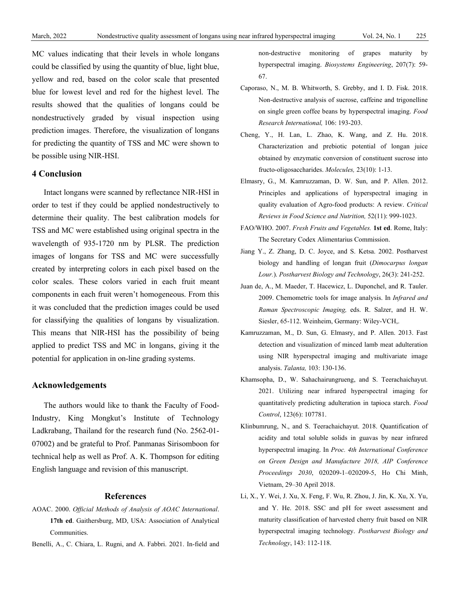MC values indicating that their levels in whole longans could be classified by using the quantity of blue, light blue, yellow and red, based on the color scale that presented blue for lowest level and red for the highest level. The results showed that the qualities of longans could be nondestructively graded by visual inspection using prediction images. Therefore, the visualization of longans for predicting the quantity of TSS and MC were shown to be possible using NIR-HSI.

## **4 Conclusion**

Intact longans were scanned by reflectance NIR-HSI in order to test if they could be applied nondestructively to determine their quality. The best calibration models for TSS and MC were established using original spectra in the wavelength of 935-1720 nm by PLSR. The prediction images of longans for TSS and MC were successfully created by interpreting colors in each pixel based on the color scales. These colors varied in each fruit meant components in each fruit weren't homogeneous. From this it was concluded that the prediction images could be used for classifying the qualities of longans by visualization. This means that NIR-HSI has the possibility of being applied to predict TSS and MC in longans, giving it the potential for application in on-line grading systems.

### **Acknowledgements**

The authors would like to thank the Faculty of Food-Industry, King Mongkut's Institute of Technology Ladkrabang, Thailand for the research fund (No. 2562-01- 07002) and be grateful to Prof. Panmanas Sirisomboon for technical help as well as Prof. A. K. Thompson for editing English language and revision of this manuscript.

#### **References**

- AOAC. 2000. *Official Methods of Analysis of AOAC International*. **17th ed**. Gaithersburg, MD, USA: Association of Analytical Communities.
- Benelli, A., C. Chiara, L. Rugni, and A. Fabbri. 2021. In-field and

non-destructive monitoring of grapes maturity by hyperspectral imaging. *Biosystems Engineering*, 207(7): 59- 67.

- Caporaso, N., M. B. Whitworth, S. Grebby, and I. D. Fisk. 2018. Non-destructive analysis of sucrose, caffeine and trigonelline on single green coffee beans by hyperspectral imaging. *Food Research International,* 106: 193-203.
- Cheng, Y., H. Lan, L. Zhao, K. Wang, and Z. Hu. 2018. Characterization and prebiotic potential of longan juice obtained by enzymatic conversion of constituent sucrose into fructo-oligosaccharides. *Molecules,* 23(10): 1-13.
- Elmasry, G., M. Kamruzzaman, D. W. Sun, and P. Allen. 2012. Principles and applications of hyperspectral imaging in quality evaluation of Agro-food products: A review. *Critical Reviews in Food Science and Nutrition,* 52(11): 999-1023.
- FAO/WHO. 2007. *Fresh Fruits and Vegetables.* **1st ed**. Rome, Italy: The Secretary Codex Alimentarius Commission.
- Jiang Y., Z. Zhang, D. C. Joyce, and S. Ketsa. 2002. Postharvest biology and handling of longan fruit (*Dimocarpus longan Lour.*). *Postharvest Biology and Technology*, 26(3): 241-252.
- Juan de, A., M. Maeder, T. Hacewicz, L. Duponchel, and R. Tauler. 2009. Chemometric tools for image analysis. In *Infrared and Raman Spectroscopic Imaging,* eds. R. Salzer, and H. W. Siesler, 65-112. Weinheim, Germany: Wiley-VCH,.
- Kamruzzaman, M., D. Sun, G. Elmasry, and P. Allen. 2013. Fast detection and visualization of minced lamb meat adulteration using NIR hyperspectral imaging and multivariate image analysis. *Talanta,* 103: 130-136.
- Khamsopha, D., W. Sahachairungrueng, and S. Teerachaichayut. 2021. Utilizing near infrared hyperspectral imaging for quantitatively predicting adulteration in tapioca starch. *Food Control*, 123(6): 107781.
- Klinbumrung, N., and S. Teerachaichayut. 2018. Quantification of acidity and total soluble solids in guavas by near infrared hyperspectral imaging. In *Proc. 4th International Conference on Green Design and Manufacture 2018, AIP Conference Proceedings 2030*, 020209-1–020209-5, Ho Chi Minh, Vietnam, 29–30 April 2018.
- Li, X., Y. Wei, J. Xu, X. Feng, F. Wu, R. Zhou, J. Jin, K. Xu, X. Yu, and Y. He. 2018. SSC and pH for sweet assessment and maturity classification of harvested cherry fruit based on NIR hyperspectral imaging technology. *Postharvest Biology and Technology*, 143: 112-118.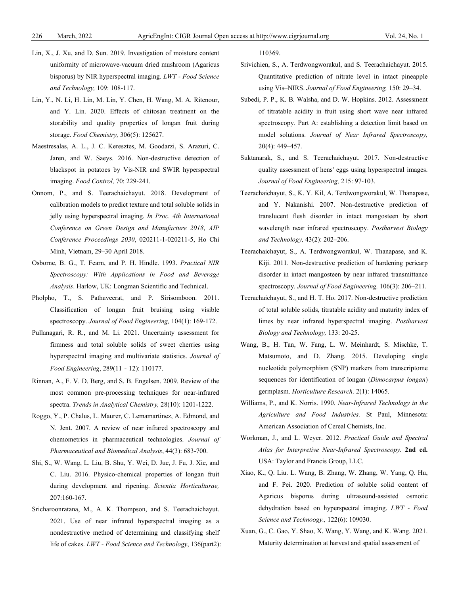- Lin, X., J. Xu, and D. Sun. 2019. Investigation of moisture content uniformity of microwave-vacuum dried mushroom (Agaricus bisporus) by NIR hyperspectral imaging. *LWT - Food Science and Technology,* 109: 108-117.
- Lin, Y., N. Li, H. Lin, M. Lin, Y. Chen, H. Wang, M. A. Ritenour, and Y. Lin. 2020. Effects of chitosan treatment on the storability and quality properties of longan fruit during storage. *Food Chemistry,* 306(5): 125627.
- Maestresalas, A. L., J. C. Keresztes, M. Goodarzi, S. Arazuri, C. Jaren, and W. Saeys. 2016. Non-destructive detection of blackspot in potatoes by Vis-NIR and SWIR hyperspectral imaging. *Food Control,* 70: 229-241.
- Onnom, P., and S. Teerachaichayut. 2018. Development of calibration models to predict texture and total soluble solids in jelly using hyperspectral imaging. *In Proc. 4th International Conference on Green Design and Manufacture 2018*, *AIP Conference Proceedings 2030*, 020211-1-020211-5, Ho Chi Minh, Vietnam, 29–30 April 2018.
- Osborne, B. G., T. Fearn, and P. H. Hindle. 1993. *Practical NIR Spectroscopy: With Applications in Food and Beverage Analysis*. Harlow, UK: Longman Scientific and Technical.
- Pholpho, T., S. Pathaveerat, and P. Sirisomboon. 2011. Classification of longan fruit bruising using visible spectroscopy. *Journal of Food Engineering,* 104(1): 169-172.
- Pullanagari, R. R., and M. Li. 2021. Uncertainty assessment for firmness and total soluble solids of sweet cherries using hyperspectral imaging and multivariate statistics. *Journal of Food Engineering*, 289(11‐12): 110177.
- Rinnan, A., F. V. D. Berg, and S. B. Engelsen. 2009. Review of the most common pre-processing techniques for near-infrared spectra. *Trends in Analytical Chemistry,* 28(10): 1201-1222.
- Roggo, Y., P. Chalus, L. Maurer, C. Lemamartinez, A. Edmond, and N. Jent. 2007. A review of near infrared spectroscopy and chemometrics in pharmaceutical technologies. *Journal of Pharmaceutical and Biomedical Analysis*, 44(3): 683-700.
- Shi, S., W. Wang, L. Liu, B. Shu, Y. Wei, D. Jue, J. Fu, J. Xie, and C. Liu. 2016. Physico-chemical properties of longan fruit during development and ripening. *Scientia Horticulturae,*  207:160-167.
- Sricharoonratana, M., A. K. Thompson, and S. Teerachaichayut. 2021. Use of near infrared hyperspectral imaging as a nondestructive method of determining and classifying shelf life of cakes. *LWT - Food Science and Technology*, 136(part2):

110369.

- Srivichien, S., A. Terdwongworakul, and S. Teerachaichayut. 2015. Quantitative prediction of nitrate level in intact pineapple using Vis–NIRS. *Journal of Food Engineering,* 150: 29–34.
- Subedi, P. P., K. B. Walsha, and D. W. Hopkins. 2012. Assessment of titratable acidity in fruit using short wave near infrared spectroscopy. Part A: establishing a detection limit based on model solutions. *Journal of Near Infrared Spectroscopy,*  20(4): 449–457.
- Suktanarak, S., and S. Teerachaichayut. 2017. Non-destructive quality assessment of hens' eggs using hyperspectral images. *Journal of Food Engineering,* 215: 97-103.
- Teerachaichayut, S., K. Y. Kil, A. Terdwongworakul, W. Thanapase, and Y. Nakanishi. 2007. Non-destructive prediction of translucent flesh disorder in intact mangosteen by short wavelength near infrared spectroscopy. *Postharvest Biology and Technology,* 43(2): 202–206.
- Teerachaichayut, S., A. Terdwongworakul, W. Thanapase, and K. Kiji. 2011. Non-destructive prediction of hardening pericarp disorder in intact mangosteen by near infrared transmittance spectroscopy. *Journal of Food Engineering,* 106(3): 206–211.
- Teerachaichayut, S., and H. T. Ho. 2017. Non-destructive prediction of total soluble solids, titratable acidity and maturity index of limes by near infrared hyperspectral imaging. *Postharvest Biology and Technology,* 133: 20-25.
- Wang, B., H. Tan, W. Fang, L. W. Meinhardt, S. Mischke, T. Matsumoto, and D. Zhang. 2015. Developing single nucleotide polymorphism (SNP) markers from transcriptome sequences for identification of longan (*Dimocarpus longan*) germplasm. *Horticulture Research,* 2(1): 14065.
- Williams, P., and K. Norris. 1990. *Near-Infrared Technology in the Agriculture and Food Industries.* St Paul, Minnesota: American Association of Cereal Chemists, Inc.
- Workman, J., and L. Weyer. 2012. *Practical Guide and Spectral Atlas for Interpretive Near-Infrared Spectroscopy.* **2nd ed.** USA: Taylor and Francis Group, LLC.
- Xiao, K., Q. Liu. L. Wang, B. Zhang, W. Zhang, W. Yang, Q. Hu, and F. Pei. 2020. Prediction of soluble solid content of Agaricus bisporus during ultrasound-assisted osmotic dehydration based on hyperspectral imaging. *LWT - Food Science and Technoogy.,* 122(6): 109030.
- Xuan, G., C. Gao, Y. Shao, X. Wang, Y. Wang, and K. Wang. 2021. Maturity determination at harvest and spatial assessment of